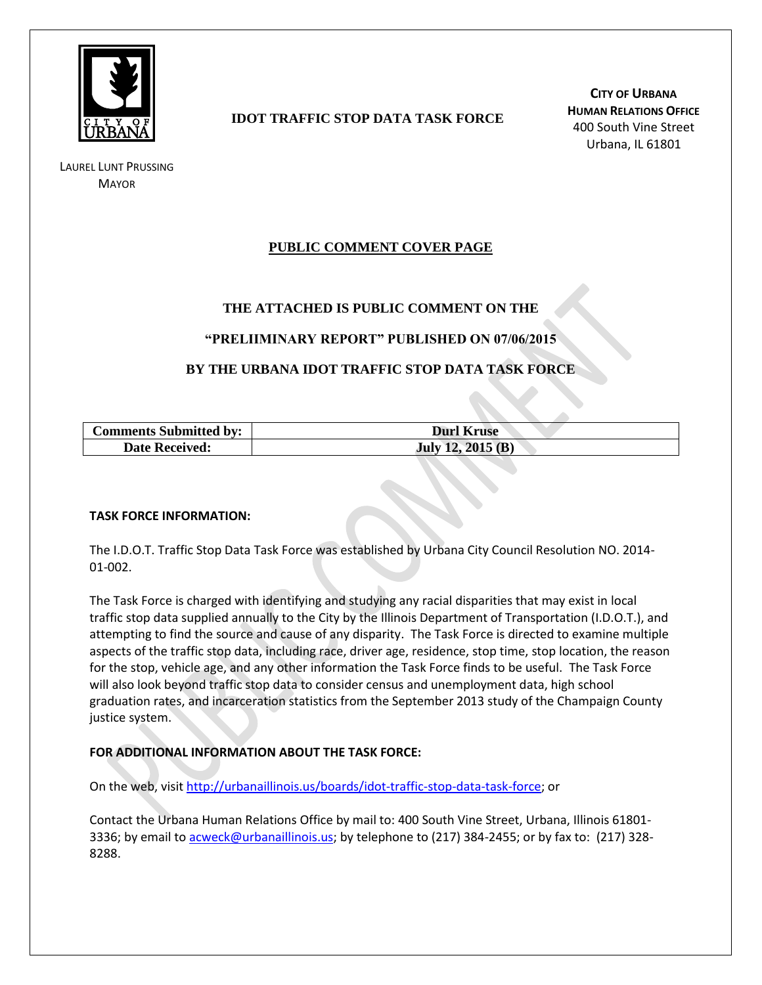

LAUREL LUNT PRUSSING **MAYOR** 

# **IDOT TRAFFIC STOP DATA TASK FORCE**

**CITY OF URBANA HUMAN RELATIONS OFFICE** 400 South Vine Street Urbana, IL 61801

# **PUBLIC COMMENT COVER PAGE**

## **THE ATTACHED IS PUBLIC COMMENT ON THE**

#### **"PRELIIMINARY REPORT" PUBLISHED ON 07/06/2015**

## **BY THE URBANA IDOT TRAFFIC STOP DATA TASK FORCE**

| <b>Comments Submitted by:</b> | <b>Durl Kruse</b>  |
|-------------------------------|--------------------|
| <b>Date Received:</b>         | July 12, $2015(B)$ |

#### **TASK FORCE INFORMATION:**

The I.D.O.T. Traffic Stop Data Task Force was established by Urbana City Council Resolution NO. 2014- 01-002.

The Task Force is charged with identifying and studying any racial disparities that may exist in local traffic stop data supplied annually to the City by the Illinois Department of Transportation (I.D.O.T.), and attempting to find the source and cause of any disparity. The Task Force is directed to examine multiple aspects of the traffic stop data, including race, driver age, residence, stop time, stop location, the reason for the stop, vehicle age, and any other information the Task Force finds to be useful. The Task Force will also look beyond traffic stop data to consider census and unemployment data, high school graduation rates, and incarceration statistics from the September 2013 study of the Champaign County justice system.

#### **FOR ADDITIONAL INFORMATION ABOUT THE TASK FORCE:**

On the web, visit [http://urbanaillinois.us/boards/idot-traffic-stop-data-task-force;](http://urbanaillinois.us/boards/idot-traffic-stop-data-task-force) or

Contact the Urbana Human Relations Office by mail to: 400 South Vine Street, Urbana, Illinois 61801 3336; by email to [acweck@urbanaillinois.us;](mailto:acweck@urbanaillinois.us) by telephone to (217) 384-2455; or by fax to: (217) 328-8288.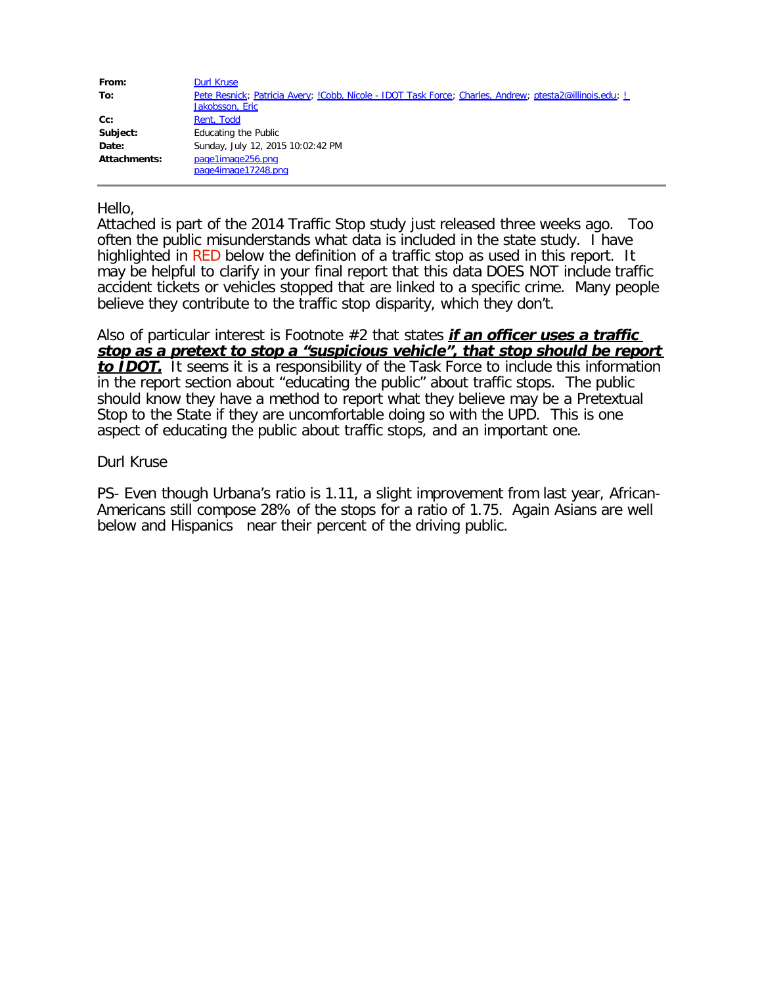| From:               | Durl Kruse                                                                                                                       |
|---------------------|----------------------------------------------------------------------------------------------------------------------------------|
| To:                 | Pete Resnick; Patricia Avery; <i>Cobb, Nicole - IDOT Task Force; Charles, Andrew; ptesta2@illinois.edu; L</i><br>Jakobsson, Eric |
| $Cc$ :              | Rent, Todd                                                                                                                       |
| Subject:            | Educating the Public                                                                                                             |
| Date:               | Sunday, July 12, 2015 10:02:42 PM                                                                                                |
| <b>Attachments:</b> | page1image256.png                                                                                                                |
|                     | page4image17248.png                                                                                                              |

Hello,

Attached is part of the 2014 Traffic Stop study just released three weeks ago. Too often the public misunderstands what data is included in the state study. I have highlighted in RED below the definition of a traffic stop as used in this report. It may be helpful to clarify in your final report that this data DOES NOT include traffic accident tickets or vehicles stopped that are linked to a specific crime. Many people believe they contribute to the traffic stop disparity, which they don't.

Also of particular interest is Footnote #2 that states **if an officer uses a traffic stop as a pretext to stop a "suspicious vehicle", that stop should be report to IDOT.** It seems it is a responsibility of the Task Force to include this information in the report section about "educating the public" about traffic stops. The public should know they have a method to report what they believe may be a Pretextual Stop to the State if they are uncomfortable doing so with the UPD. This is one aspect of educating the public about traffic stops, and an important one.

#### Durl Kruse

PS- Even though Urbana's ratio is 1.11, a slight improvement from last year, African-Americans still compose 28% of the stops for a ratio of 1.75. Again Asians are well below and Hispanics near their percent of the driving public.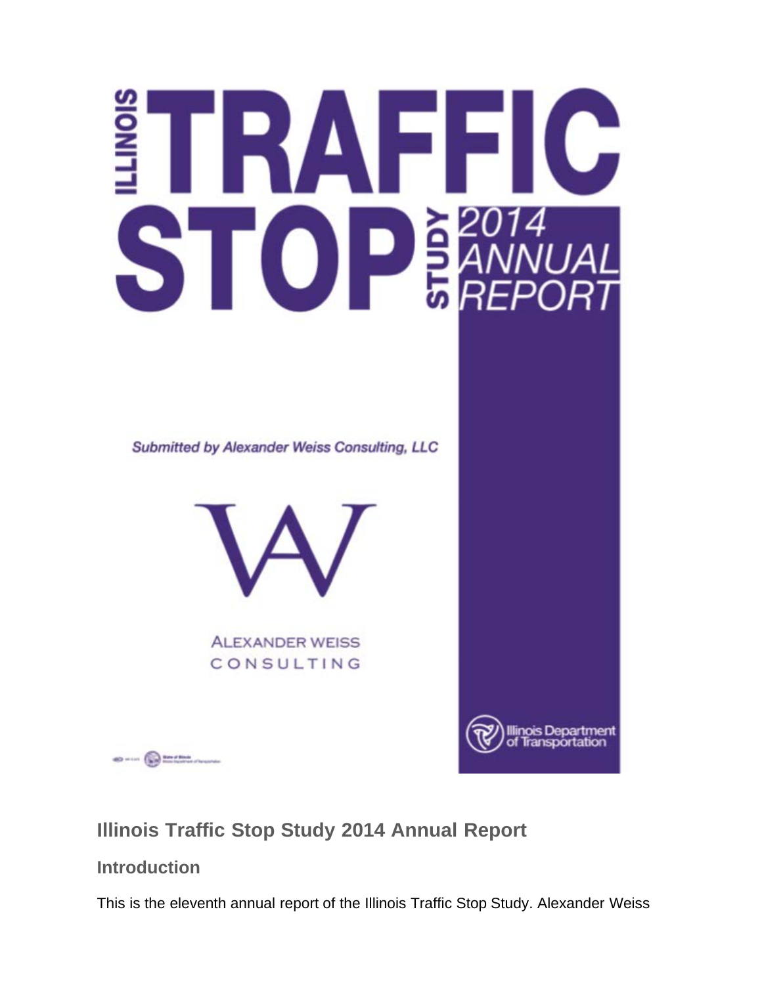# TRAFFIC  $S$   $O$   $P_{BARNU}$

**Submitted by Alexander Weiss Consulting, LLC** 



**ALEXANDER WEISS** CONSULTING



 $\frac{dD}{dD} = 1.11$ 

**Illinois Traffic Stop Study 2014 Annual Report**

**Introduction**

This is the eleventh annual report of the Illinois Traffic Stop Study. Alexander Weiss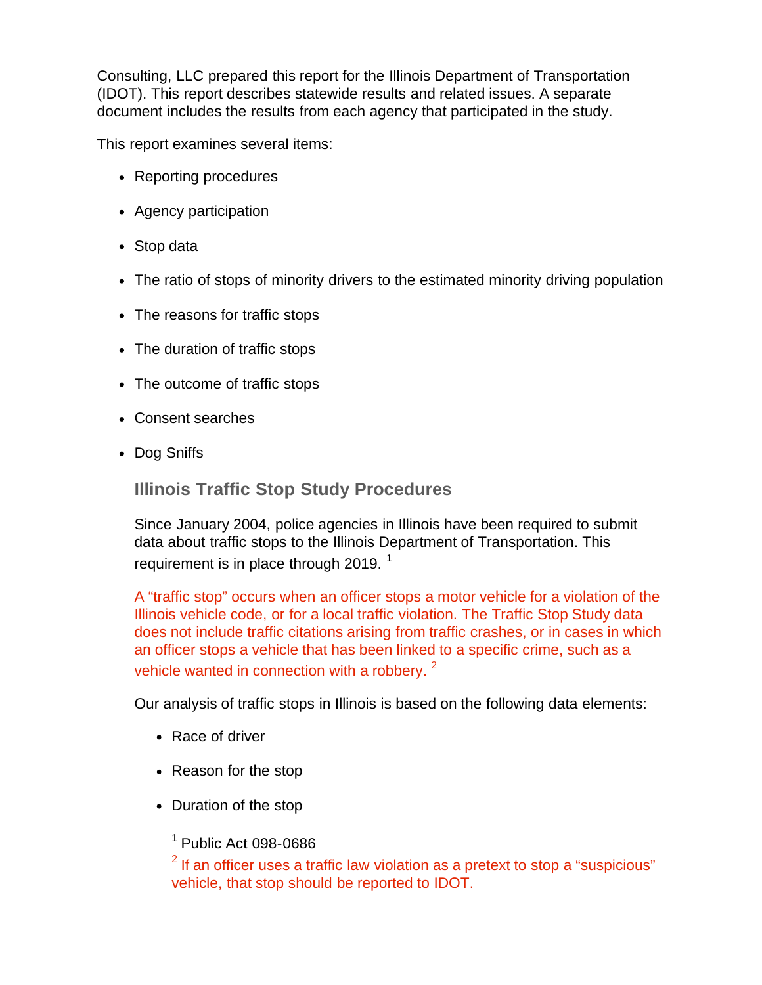Consulting, LLC prepared this report for the Illinois Department of Transportation (IDOT). This report describes statewide results and related issues. A separate document includes the results from each agency that participated in the study.

This report examines several items:

- Reporting procedures
- Agency participation
- Stop data
- The ratio of stops of minority drivers to the estimated minority driving population
- The reasons for traffic stops
- The duration of traffic stops
- The outcome of traffic stops
- Consent searches
- Dog Sniffs

**Illinois Traffic Stop Study Procedures**

Since January 2004, police agencies in Illinois have been required to submit data about traffic stops to the Illinois Department of Transportation. This requirement is in place through 2019.  $1$ 

A "traffic stop" occurs when an officer stops a motor vehicle for a violation of the Illinois vehicle code, or for a local traffic violation. The Traffic Stop Study data does not include traffic citations arising from traffic crashes, or in cases in which an officer stops a vehicle that has been linked to a specific crime, such as a vehicle wanted in connection with a robbery.  $2^2$ 

Our analysis of traffic stops in Illinois is based on the following data elements:

- Race of driver
- Reason for the stop
- Duration of the stop

 $<sup>1</sup>$  Public Act 098-0686</sup>

 $2$  If an officer uses a traffic law violation as a pretext to stop a "suspicious" vehicle, that stop should be reported to IDOT.